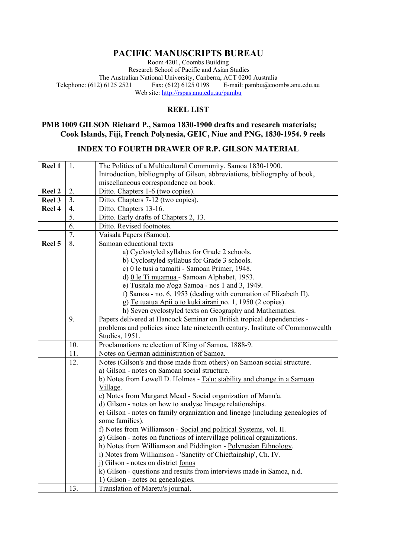# **PACIFIC MANUSCRIPTS BUREAU**

Room 4201, Coombs Building Research School of Pacific and Asian Studies The Australian National University, Canberra, ACT 0200 Australia<br>Telephone: (612) 6125 2521 Fax: (612) 6125 0198 E-mail: pambu@cool E-mail: pambu@coombs.anu.edu.au Web site: http://rspas.anu.edu.au/pambu

## **REEL LIST**

### **PMB 1009 GILSON Richard P., Samoa 1830-1900 drafts and research materials; Cook Islands, Fiji, French Polynesia, GEIC, Niue and PNG, 1830-1954. 9 reels**

### **INDEX TO FOURTH DRAWER OF R.P. GILSON MATERIAL**

| Introduction, bibliography of Gilson, abbreviations, bibliography of book,<br>miscellaneous correspondence on book.<br>2.<br>Ditto. Chapters 1-6 (two copies).<br>Reel 2<br>3.<br>Ditto. Chapters 7-12 (two copies).<br>Reel 3<br>Reel 4<br>$\overline{4}$ .<br>Ditto. Chapters 13-16.<br>5.<br>Ditto. Early drafts of Chapters 2, 13.<br>6.<br>Ditto. Revised footnotes.<br>7.<br>Vaisala Papers (Samoa).<br>8.<br>Samoan educational texts<br>Reel 5<br>a) Cyclostyled syllabus for Grade 2 schools.<br>b) Cyclostyled syllabus for Grade 3 schools. | Reel 1 | 1. | The Politics of a Multicultural Community. Samoa 1830-1900. |
|--------------------------------------------------------------------------------------------------------------------------------------------------------------------------------------------------------------------------------------------------------------------------------------------------------------------------------------------------------------------------------------------------------------------------------------------------------------------------------------------------------------------------------------------------------|--------|----|-------------------------------------------------------------|
|                                                                                                                                                                                                                                                                                                                                                                                                                                                                                                                                                        |        |    |                                                             |
|                                                                                                                                                                                                                                                                                                                                                                                                                                                                                                                                                        |        |    |                                                             |
|                                                                                                                                                                                                                                                                                                                                                                                                                                                                                                                                                        |        |    |                                                             |
|                                                                                                                                                                                                                                                                                                                                                                                                                                                                                                                                                        |        |    |                                                             |
|                                                                                                                                                                                                                                                                                                                                                                                                                                                                                                                                                        |        |    |                                                             |
|                                                                                                                                                                                                                                                                                                                                                                                                                                                                                                                                                        |        |    |                                                             |
|                                                                                                                                                                                                                                                                                                                                                                                                                                                                                                                                                        |        |    |                                                             |
|                                                                                                                                                                                                                                                                                                                                                                                                                                                                                                                                                        |        |    |                                                             |
|                                                                                                                                                                                                                                                                                                                                                                                                                                                                                                                                                        |        |    |                                                             |
|                                                                                                                                                                                                                                                                                                                                                                                                                                                                                                                                                        |        |    |                                                             |
|                                                                                                                                                                                                                                                                                                                                                                                                                                                                                                                                                        |        |    |                                                             |
|                                                                                                                                                                                                                                                                                                                                                                                                                                                                                                                                                        |        |    |                                                             |
|                                                                                                                                                                                                                                                                                                                                                                                                                                                                                                                                                        |        |    | c) 0 le tusi a tamaiti - Samoan Primer, 1948.               |
| d) 0 le Ti muamua - Samoan Alphabet, 1953.                                                                                                                                                                                                                                                                                                                                                                                                                                                                                                             |        |    |                                                             |
| e) Tusitala mo a'oga Samoa - nos 1 and 3, 1949.                                                                                                                                                                                                                                                                                                                                                                                                                                                                                                        |        |    |                                                             |
| f) Samoa - no. 6, 1953 (dealing with coronation of Elizabeth II).                                                                                                                                                                                                                                                                                                                                                                                                                                                                                      |        |    |                                                             |
| g) Te tuatua Apii o to kuki airani no. 1, 1950 (2 copies).                                                                                                                                                                                                                                                                                                                                                                                                                                                                                             |        |    |                                                             |
| h) Seven cyclostyled texts on Geography and Mathematics.                                                                                                                                                                                                                                                                                                                                                                                                                                                                                               |        |    |                                                             |
| 9.<br>Papers delivered at Hancock Seminar on British tropical dependencies -                                                                                                                                                                                                                                                                                                                                                                                                                                                                           |        |    |                                                             |
| problems and policies since late nineteenth century. Institute of Commonwealth                                                                                                                                                                                                                                                                                                                                                                                                                                                                         |        |    |                                                             |
| Studies, 1951.                                                                                                                                                                                                                                                                                                                                                                                                                                                                                                                                         |        |    |                                                             |
| 10.<br>Proclamations re election of King of Samoa, 1888-9.                                                                                                                                                                                                                                                                                                                                                                                                                                                                                             |        |    |                                                             |
| Notes on German administration of Samoa.<br>11.                                                                                                                                                                                                                                                                                                                                                                                                                                                                                                        |        |    |                                                             |
| 12.<br>Notes (Gilson's and those made from others) on Samoan social structure.                                                                                                                                                                                                                                                                                                                                                                                                                                                                         |        |    |                                                             |
| a) Gilson - notes on Samoan social structure.                                                                                                                                                                                                                                                                                                                                                                                                                                                                                                          |        |    |                                                             |
| b) Notes from Lowell D. Holmes - Ta'u: stability and change in a Samoan                                                                                                                                                                                                                                                                                                                                                                                                                                                                                |        |    |                                                             |
| Village.                                                                                                                                                                                                                                                                                                                                                                                                                                                                                                                                               |        |    |                                                             |
| c) Notes from Margaret Mead - Social organization of Manu'a.                                                                                                                                                                                                                                                                                                                                                                                                                                                                                           |        |    |                                                             |
| d) Gilson - notes on how to analyse lineage relationships.                                                                                                                                                                                                                                                                                                                                                                                                                                                                                             |        |    |                                                             |
| e) Gilson - notes on family organization and lineage (including genealogies of                                                                                                                                                                                                                                                                                                                                                                                                                                                                         |        |    |                                                             |
| some families).                                                                                                                                                                                                                                                                                                                                                                                                                                                                                                                                        |        |    |                                                             |
| f) Notes from Williamson - Social and political Systems, vol. II.                                                                                                                                                                                                                                                                                                                                                                                                                                                                                      |        |    |                                                             |
| g) Gilson - notes on functions of intervillage political organizations.                                                                                                                                                                                                                                                                                                                                                                                                                                                                                |        |    |                                                             |
| h) Notes from Williamson and Piddington - Polynesian Ethnology.                                                                                                                                                                                                                                                                                                                                                                                                                                                                                        |        |    |                                                             |
| i) Notes from Williamson - 'Sanctity of Chieftainship', Ch. IV.                                                                                                                                                                                                                                                                                                                                                                                                                                                                                        |        |    |                                                             |
| j) Gilson - notes on district fonos                                                                                                                                                                                                                                                                                                                                                                                                                                                                                                                    |        |    |                                                             |
| k) Gilson - questions and results from interviews made in Samoa, n.d.                                                                                                                                                                                                                                                                                                                                                                                                                                                                                  |        |    |                                                             |
| 1) Gilson - notes on genealogies.                                                                                                                                                                                                                                                                                                                                                                                                                                                                                                                      |        |    |                                                             |
| Translation of Maretu's journal.<br>13.                                                                                                                                                                                                                                                                                                                                                                                                                                                                                                                |        |    |                                                             |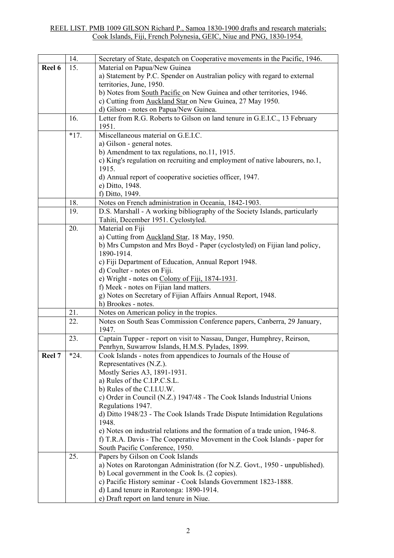#### REEL LIST. PMB 1009 GILSON Richard P., Samoa 1830-1900 drafts and research materials; Cook Islands, Fiji, French Polynesia, GEIC, Niue and PNG, 1830-1954.

|        | 14.    | Secretary of State, despatch on Cooperative movements in the Pacific, 1946.  |
|--------|--------|------------------------------------------------------------------------------|
| Reel 6 | 15.    | Material on Papua/New Guinea                                                 |
|        |        | a) Statement by P.C. Spender on Australian policy with regard to external    |
|        |        | territories, June, 1950.                                                     |
|        |        | b) Notes from South Pacific on New Guinea and other territories, 1946.       |
|        |        | c) Cutting from Auckland Star on New Guinea, 27 May 1950.                    |
|        |        | d) Gilson - notes on Papua/New Guinea.                                       |
|        | 16.    | Letter from R.G. Roberts to Gilson on land tenure in G.E.I.C., 13 February   |
|        |        | 1951.                                                                        |
|        | $*17.$ | Miscellaneous material on G.E.I.C.                                           |
|        |        | a) Gilson - general notes.                                                   |
|        |        | b) Amendment to tax regulations, no.11, 1915.                                |
|        |        | c) King's regulation on recruiting and employment of native labourers, no.1, |
|        |        | 1915.                                                                        |
|        |        | d) Annual report of cooperative societies officer, 1947.                     |
|        |        | e) Ditto, 1948.                                                              |
|        |        | f) Ditto, 1949.                                                              |
|        | 18.    | Notes on French administration in Oceania, 1842-1903.                        |
|        | 19.    | D.S. Marshall - A working bibliography of the Society Islands, particularly  |
|        |        | Tahiti, December 1951. Cyclostyled.                                          |
|        | 20.    |                                                                              |
|        |        | Material on Fiji                                                             |
|        |        | a) Cutting from Auckland Star, 18 May, 1950.                                 |
|        |        | b) Mrs Cumpston and Mrs Boyd - Paper (cyclostyled) on Fijian land policy,    |
|        |        | 1890-1914.                                                                   |
|        |        | c) Fiji Department of Education, Annual Report 1948.                         |
|        |        | d) Coulter - notes on Fiji.                                                  |
|        |        | e) Wright - notes on Colony of Fiji, 1874-1931.                              |
|        |        | f) Meek - notes on Fijian land matters.                                      |
|        |        | g) Notes on Secretary of Fijian Affairs Annual Report, 1948.                 |
|        |        | h) Brookes - notes.                                                          |
|        | 21.    | Notes on American policy in the tropics.                                     |
|        | 22.    | Notes on South Seas Commission Conference papers, Canberra, 29 January,      |
|        |        | 1947.                                                                        |
|        | 23.    | Captain Tupper - report on visit to Nassau, Danger, Humphrey, Reirson,       |
|        |        | Penrhyn, Suwarrow Islands, H.M.S. Pylades, 1899.                             |
| Reel 7 | $*24.$ | Cook Islands - notes from appendices to Journals of the House of             |
|        |        | Representatives (N.Z.).                                                      |
|        |        | Mostly Series A3, 1891-1931.                                                 |
|        |        | a) Rules of the C.I.P.C.S.L.                                                 |
|        |        | b) Rules of the C.I.I.U.W.                                                   |
|        |        | c) Order in Council (N.Z.) 1947/48 - The Cook Islands Industrial Unions      |
|        |        | Regulations 1947.                                                            |
|        |        | d) Ditto 1948/23 - The Cook Islands Trade Dispute Intimidation Regulations   |
|        |        | 1948.                                                                        |
|        |        | e) Notes on industrial relations and the formation of a trade union, 1946-8. |
|        |        | f) T.R.A. Davis - The Cooperative Movement in the Cook Islands - paper for   |
|        |        | South Pacific Conference, 1950.                                              |
|        | 25.    | Papers by Gilson on Cook Islands                                             |
|        |        | a) Notes on Rarotongan Administration (for N.Z. Govt., 1950 - unpublished).  |
|        |        | b) Local government in the Cook Is. (2 copies).                              |
|        |        | c) Pacific History seminar - Cook Islands Government 1823-1888.              |
|        |        | d) Land tenure in Rarotonga: 1890-1914.                                      |
|        |        | e) Draft report on land tenure in Niue.                                      |
|        |        |                                                                              |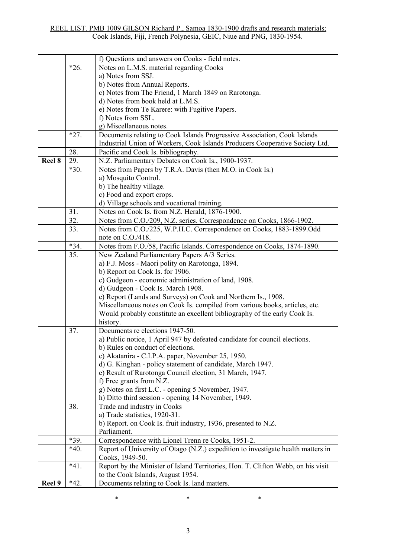|        |        | f) Questions and answers on Cooks - field notes.                                 |
|--------|--------|----------------------------------------------------------------------------------|
|        | $*26.$ | Notes on L.M.S. material regarding Cooks                                         |
|        |        | a) Notes from SSJ.                                                               |
|        |        | b) Notes from Annual Reports.                                                    |
|        |        | c) Notes from The Friend, 1 March 1849 on Rarotonga.                             |
|        |        | d) Notes from book held at L.M.S.                                                |
|        |        | e) Notes from Te Karere: with Fugitive Papers.                                   |
|        |        | f) Notes from SSL.                                                               |
|        |        | g) Miscellaneous notes.                                                          |
|        | $*27.$ | Documents relating to Cook Islands Progressive Association, Cook Islands         |
|        |        | Industrial Union of Workers, Cook Islands Producers Cooperative Society Ltd.     |
|        | 28.    | Pacific and Cook Is. bibliography.                                               |
| Reel 8 | 29.    | N.Z. Parliamentary Debates on Cook Is., 1900-1937.                               |
|        | $*30.$ | Notes from Papers by T.R.A. Davis (then M.O. in Cook Is.)                        |
|        |        | a) Mosquito Control.                                                             |
|        |        | b) The healthy village.                                                          |
|        |        | c) Food and export crops.                                                        |
|        |        | d) Village schools and vocational training.                                      |
|        | 31.    | Notes on Cook Is. from N.Z. Herald, 1876-1900.                                   |
|        | 32.    | Notes from C.O./209, N.Z. series. Correspondence on Cooks, 1866-1902.            |
|        | 33.    | Notes from C.O./225, W.P.H.C. Correspondence on Cooks, 1883-1899.Odd             |
|        |        | note on C.O./418.                                                                |
|        | $*34.$ | Notes from F.O./58, Pacific Islands. Correspondence on Cooks, 1874-1890.         |
|        | 35.    | New Zealand Parliamentary Papers A/3 Series.                                     |
|        |        | a) F.J. Moss - Maori polity on Rarotonga, 1894.                                  |
|        |        | b) Report on Cook Is. for 1906.                                                  |
|        |        | c) Gudgeon - economic administration of land, 1908.                              |
|        |        | d) Gudgeon - Cook Is. March 1908.                                                |
|        |        | e) Report (Lands and Surveys) on Cook and Northern Is., 1908.                    |
|        |        | Miscellaneous notes on Cook Is. compiled from various books, articles, etc.      |
|        |        | Would probably constitute an excellent bibliography of the early Cook Is.        |
|        |        | history.                                                                         |
|        | 37.    | Documents re elections 1947-50.                                                  |
|        |        | a) Public notice, 1 April 947 by defeated candidate for council elections.       |
|        |        | b) Rules on conduct of elections                                                 |
|        |        | c) Akatanira - C.I.P.A. paper, November 25, 1950.                                |
|        |        | d) G. Kinghan - policy statement of candidate, March 1947.                       |
|        |        | e) Result of Rarotonga Council election, 31 March, 1947.                         |
|        |        | f) Free grants from N.Z.                                                         |
|        |        | g) Notes on first L.C. - opening 5 November, 1947.                               |
|        |        | h) Ditto third session - opening 14 November, 1949.                              |
|        | 38.    | Trade and industry in Cooks                                                      |
|        |        | a) Trade statistics, 1920-31.                                                    |
|        |        | b) Report. on Cook Is. fruit industry, 1936, presented to N.Z.                   |
|        |        | Parliament.                                                                      |
|        | *39.   | Correspondence with Lionel Trenn re Cooks, 1951-2.                               |
|        | $*40.$ | Report of University of Otago (N.Z.) expedition to investigate health matters in |
|        |        | Cooks, 1949-50.                                                                  |
|        | $*41.$ | Report by the Minister of Island Territories, Hon. T. Clifton Webb, on his visit |
|        |        | to the Cook Islands, August 1954.                                                |
| Reel 9 | $*42.$ | Documents relating to Cook Is. land matters.                                     |

 $*$   $*$   $*$